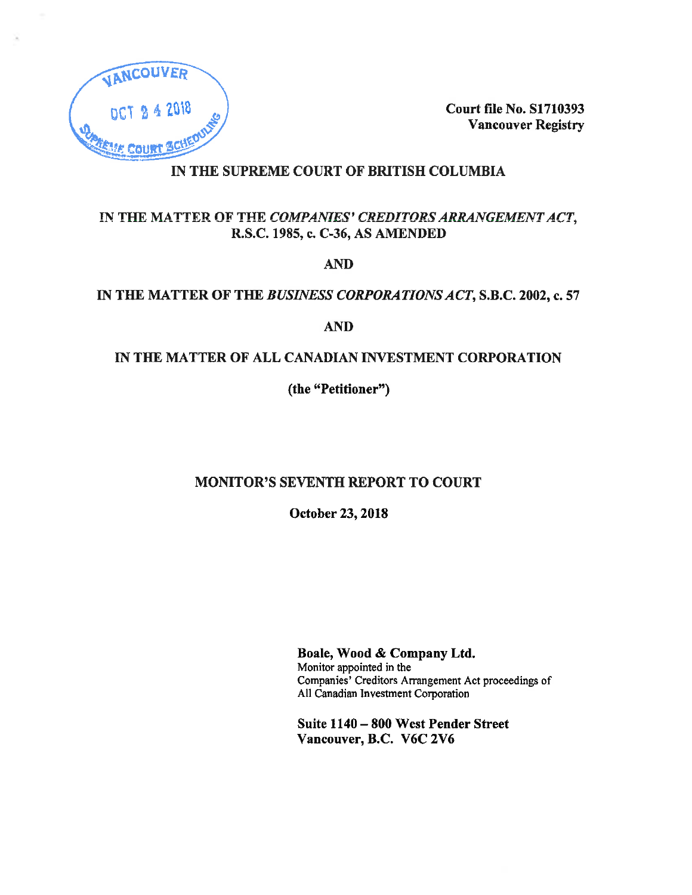

**Court file No. S1710393 Vancouver Registry** 

# IN THE SUPREME COURT OF BRITISH COLUMBIA

# IN THE MATTER OF THE COMPANIES' CREDITORS ARRANGEMENT ACT, R.S.C. 1985, c. C-36, AS AMENDED

**AND** 

# IN THE MATTER OF THE BUSINESS CORPORATIONS ACT, S.B.C. 2002, c. 57

**AND** 

# IN THE MATTER OF ALL CANADIAN INVESTMENT CORPORATION

(the "Petitioner")

# **MONITOR'S SEVENTH REPORT TO COURT**

October 23, 2018

Boale, Wood & Company Ltd. Monitor appointed in the Companies' Creditors Arrangement Act proceedings of All Canadian Investment Corporation

Suite 1140 - 800 West Pender Street Vancouver, B.C. V6C 2V6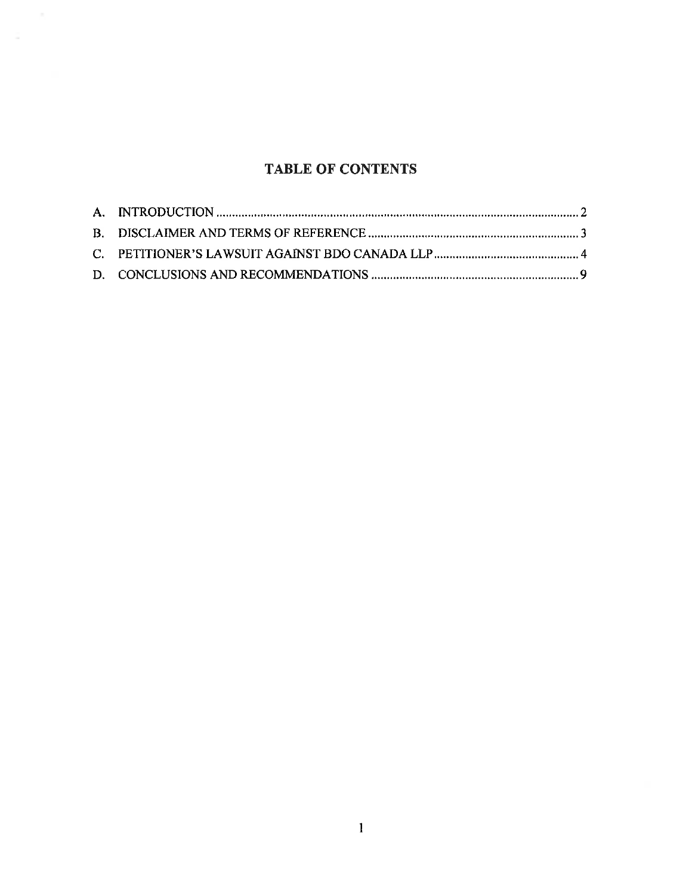# **TABLE OF CONTENTS**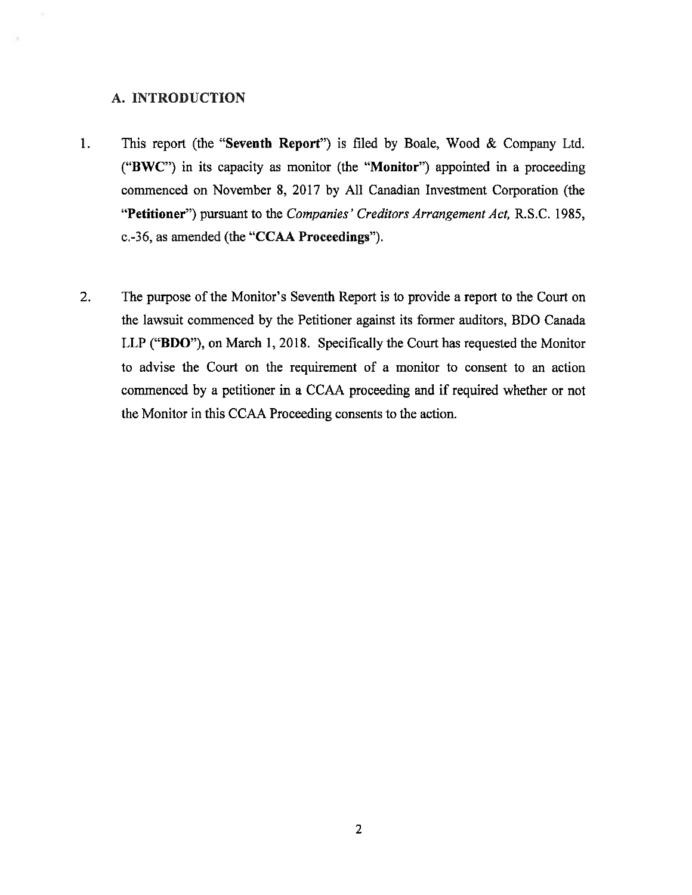### A. INTRODUCTION

- This report (the "Seventh Report") is filed by Boale, Wood & Company Ltd.  $1 -$ ("BWC") in its capacity as monitor (the "Monitor") appointed in a proceeding commenced on November 8, 2017 by All Canadian Investment Corporation (the "Petitioner") pursuant to the Companies' Creditors Arrangement Act, R.S.C. 1985, c.-36, as amended (the "CCAA Proceedings").
- $2.$ The purpose of the Monitor's Seventh Report is to provide a report to the Court on the lawsuit commenced by the Petitioner against its former auditors, BDO Canada LLP ("BDO"), on March 1, 2018. Specifically the Court has requested the Monitor to advise the Court on the requirement of a monitor to consent to an action commenced by a petitioner in a CCAA proceeding and if required whether or not the Monitor in this CCAA Proceeding consents to the action.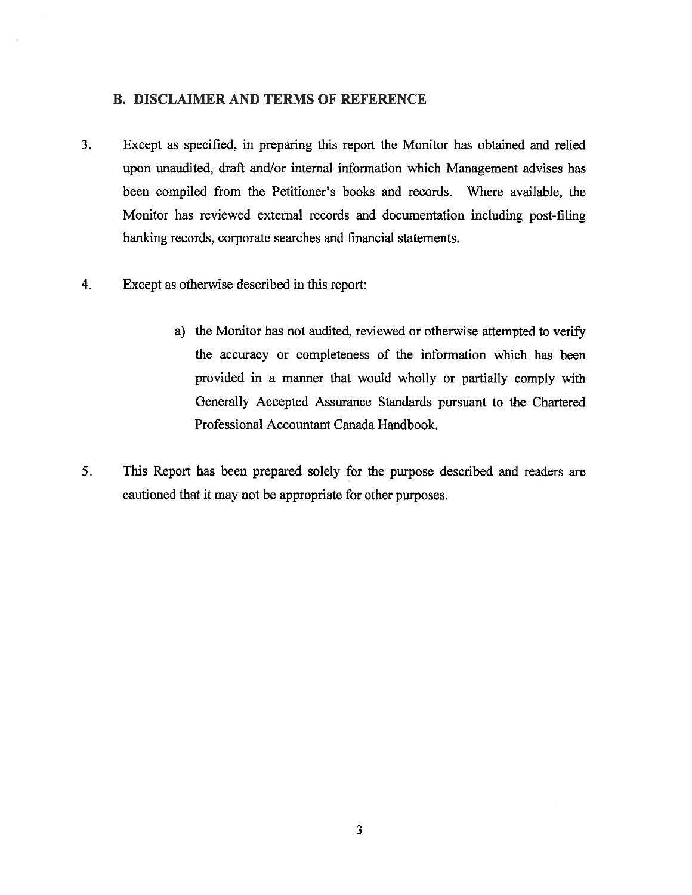### **B. DISCLAIMER AND TERMS OF REFERENCE**

- $3.$ Except as specified, in preparing this report the Monitor has obtained and relied upon unaudited, draft and/or internal information which Management advises has been compiled from the Petitioner's books and records. Where available, the Monitor has reviewed external records and documentation including post-filing banking records, corporate searches and financial statements.
- $4.$ Except as otherwise described in this report:
	- a) the Monitor has not audited, reviewed or otherwise attempted to verify the accuracy or completeness of the information which has been provided in a manner that would wholly or partially comply with Generally Accepted Assurance Standards pursuant to the Chartered Professional Accountant Canada Handbook.
- 5. This Report has been prepared solely for the purpose described and readers are cautioned that it may not be appropriate for other purposes.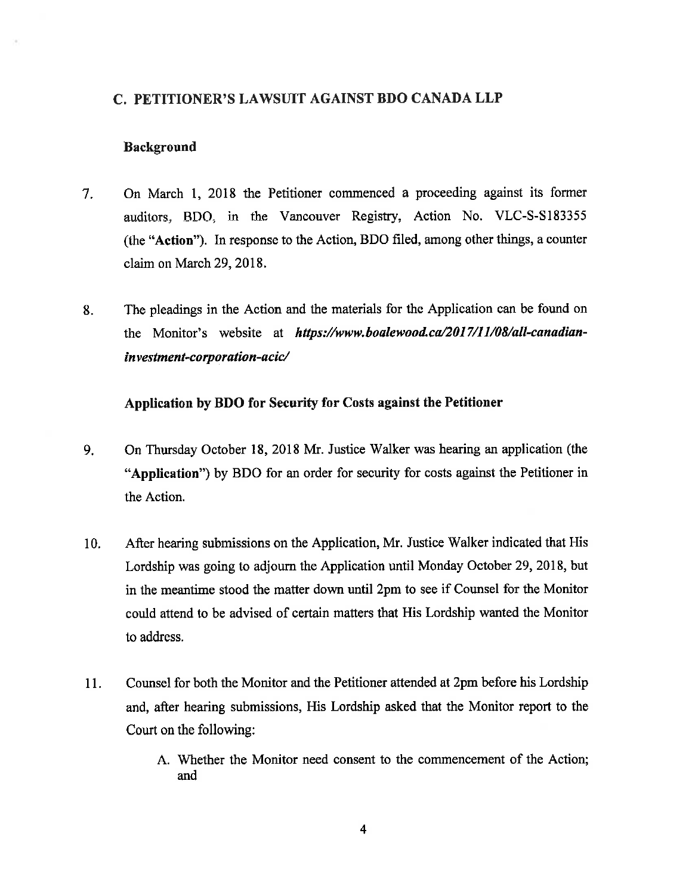### C. PETITIONER'S LAWSUIT AGAINST BDO CANADA LLP

### **Background**

- $7.$ On March 1, 2018 the Petitioner commenced a proceeding against its former auditors, BDO, in the Vancouver Registry, Action No. VLC-S-S183355 (the "Action"). In response to the Action, BDO filed, among other things, a counter claim on March 29, 2018.
- The pleadings in the Action and the materials for the Application can be found on 8. the Monitor's website at https://www.boalewood.ca/2017/11/08/all-canadianinvestment-corporation-acic/

### Application by BDO for Security for Costs against the Petitioner

- $9<sub>1</sub>$ On Thursday October 18, 2018 Mr. Justice Walker was hearing an application (the "Application") by BDO for an order for security for costs against the Petitioner in the Action.
- After hearing submissions on the Application, Mr. Justice Walker indicated that His 10. Lordship was going to adjourn the Application until Monday October 29, 2018, but in the meantime stood the matter down until 2pm to see if Counsel for the Monitor could attend to be advised of certain matters that His Lordship wanted the Monitor to address.
- 11. Counsel for both the Monitor and the Petitioner attended at 2pm before his Lordship and, after hearing submissions, His Lordship asked that the Monitor report to the Court on the following:
	- A. Whether the Monitor need consent to the commencement of the Action; and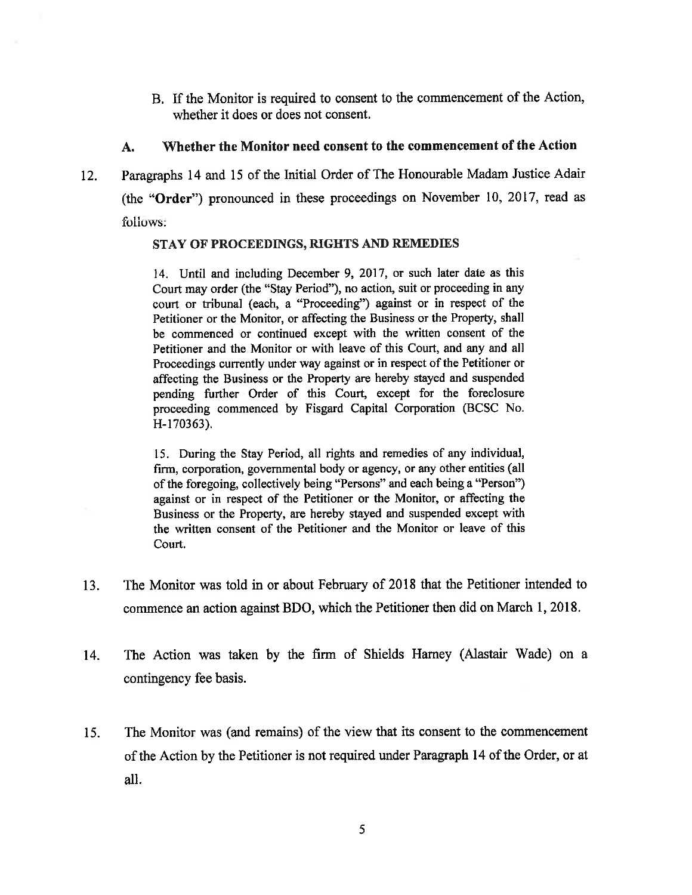B. If the Monitor is required to consent to the commencement of the Action, whether it does or does not consent.

#### Whether the Monitor need consent to the commencement of the Action A.

Paragraphs 14 and 15 of the Initial Order of The Honourable Madam Justice Adair  $12.$ (the "Order") pronounced in these proceedings on November 10, 2017, read as follows:

### STAY OF PROCEEDINGS, RIGHTS AND REMEDIES

14. Until and including December 9, 2017, or such later date as this Court may order (the "Stay Period"), no action, suit or proceeding in any court or tribunal (each, a "Proceeding") against or in respect of the Petitioner or the Monitor, or affecting the Business or the Property, shall be commenced or continued except with the written consent of the Petitioner and the Monitor or with leave of this Court, and any and all Proceedings currently under way against or in respect of the Petitioner or affecting the Business or the Property are hereby stayed and suspended pending further Order of this Court, except for the foreclosure proceeding commenced by Fisgard Capital Corporation (BCSC No. H-170363).

15. During the Stay Period, all rights and remedies of any individual, firm, corporation, governmental body or agency, or any other entities (all of the foregoing, collectively being "Persons" and each being a "Person") against or in respect of the Petitioner or the Monitor, or affecting the Business or the Property, are hereby stayed and suspended except with the written consent of the Petitioner and the Monitor or leave of this Court.

- The Monitor was told in or about February of 2018 that the Petitioner intended to 13. commence an action against BDO, which the Petitioner then did on March 1, 2018.
- The Action was taken by the firm of Shields Harney (Alastair Wade) on a 14. contingency fee basis.
- The Monitor was (and remains) of the view that its consent to the commencement 15. of the Action by the Petitioner is not required under Paragraph 14 of the Order, or at all.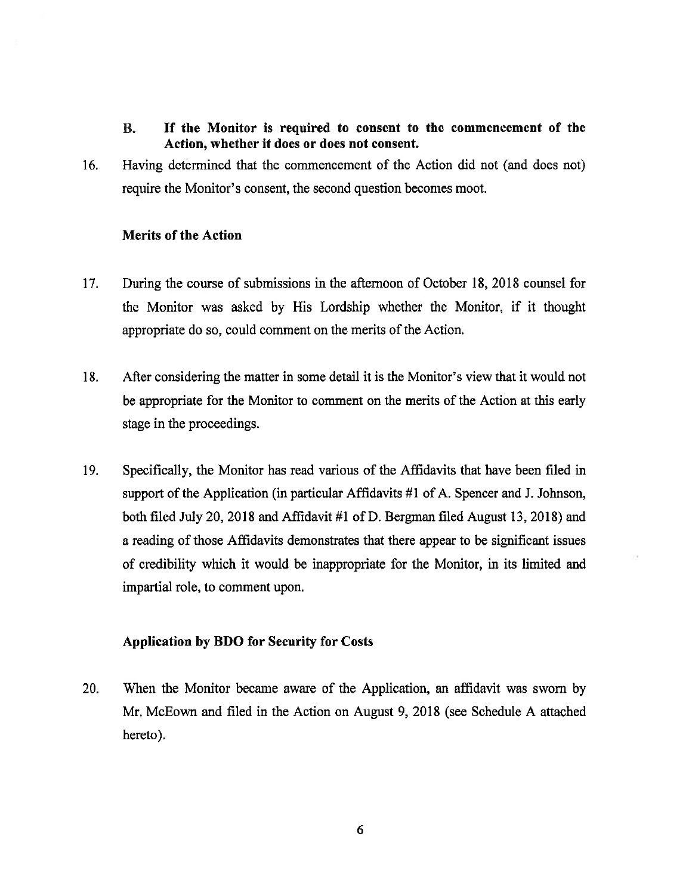- **B.** If the Monitor is required to consent to the commencement of the Action, whether it does or does not consent.
- 16. Having determined that the commencement of the Action did not (and does not) require the Monitor's consent, the second question becomes moot.

### **Merits of the Action**

- $17.$ During the course of submissions in the afternoon of October 18, 2018 counsel for the Monitor was asked by His Lordship whether the Monitor, if it thought appropriate do so, could comment on the merits of the Action.
- 18. After considering the matter in some detail it is the Monitor's view that it would not be appropriate for the Monitor to comment on the merits of the Action at this early stage in the proceedings.
- 19. Specifically, the Monitor has read various of the Affidavits that have been filed in support of the Application (in particular Affidavits #1 of A. Spencer and J. Johnson, both filed July 20, 2018 and Affidavit #1 of D. Bergman filed August 13, 2018) and a reading of those Affidavits demonstrates that there appear to be significant issues of credibility which it would be inappropriate for the Monitor, in its limited and impartial role, to comment upon.

### **Application by BDO for Security for Costs**

20. When the Monitor became aware of the Application, an affidavit was sworn by Mr. McEown and filed in the Action on August 9, 2018 (see Schedule A attached hereto).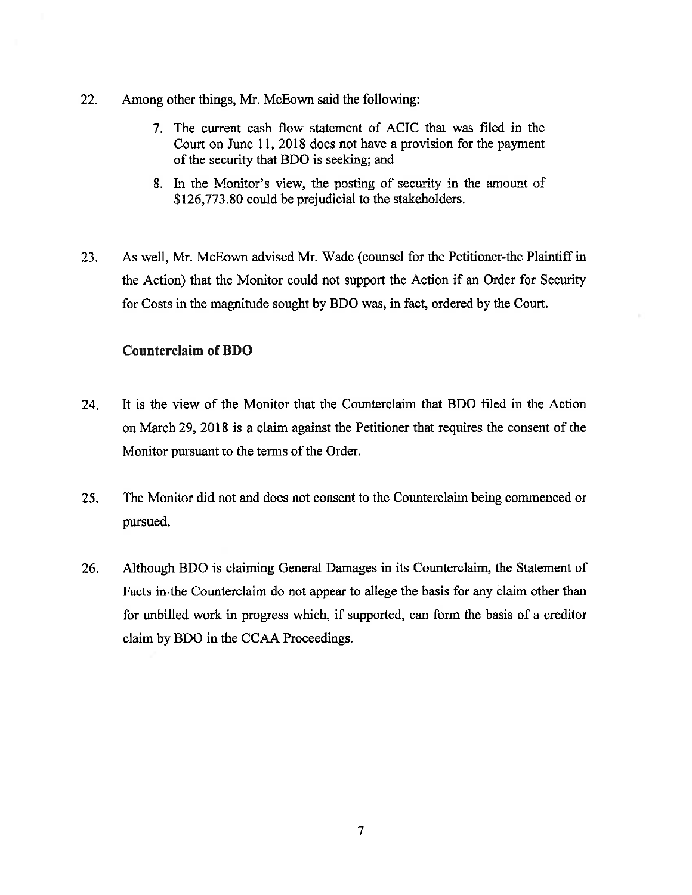- 22. Among other things, Mr. McEown said the following:
	- 7. The current cash flow statement of ACIC that was filed in the Court on June 11, 2018 does not have a provision for the payment of the security that BDO is seeking; and
	- 8. In the Monitor's view, the posting of security in the amount of \$126,773.80 could be prejudicial to the stakeholders.
- 23. As well, Mr. McEown advised Mr. Wade (counsel for the Petitioner-the Plaintiff in the Action) that the Monitor could not support the Action if an Order for Security for Costs in the magnitude sought by BDO was, in fact, ordered by the Court.

### **Counterclaim of BDO**

- 24. It is the view of the Monitor that the Counterclaim that BDO filed in the Action on March 29, 2018 is a claim against the Petitioner that requires the consent of the Monitor pursuant to the terms of the Order.
- $25.$ The Monitor did not and does not consent to the Counterclaim being commenced or pursued.
- Although BDO is claiming General Damages in its Counterclaim, the Statement of 26. Facts in the Counterclaim do not appear to allege the basis for any claim other than for unbilled work in progress which, if supported, can form the basis of a creditor claim by BDO in the CCAA Proceedings.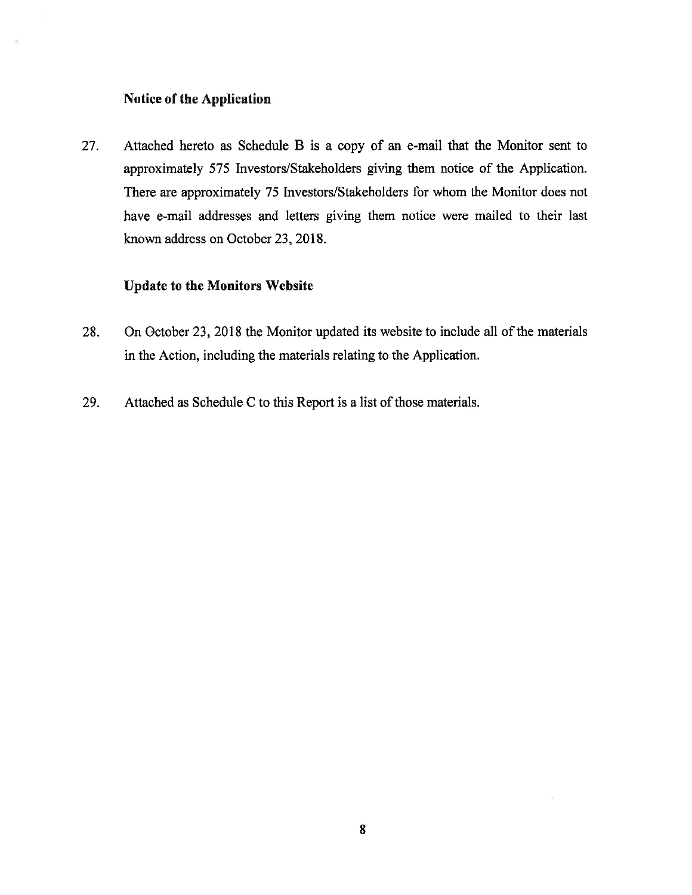### Notice of the Application

Attached hereto as Schedule B is a copy of an e-mail that the Monitor sent to 27. approximately 575 Investors/Stakeholders giving them notice of the Application. There are approximately 75 Investors/Stakeholders for whom the Monitor does not have e-mail addresses and letters giving them notice were mailed to their last known address on October 23, 2018.

### **Update to the Monitors Website**

- On October 23, 2018 the Monitor updated its website to include all of the materials 28. in the Action, including the materials relating to the Application.
- Attached as Schedule C to this Report is a list of those materials. 29.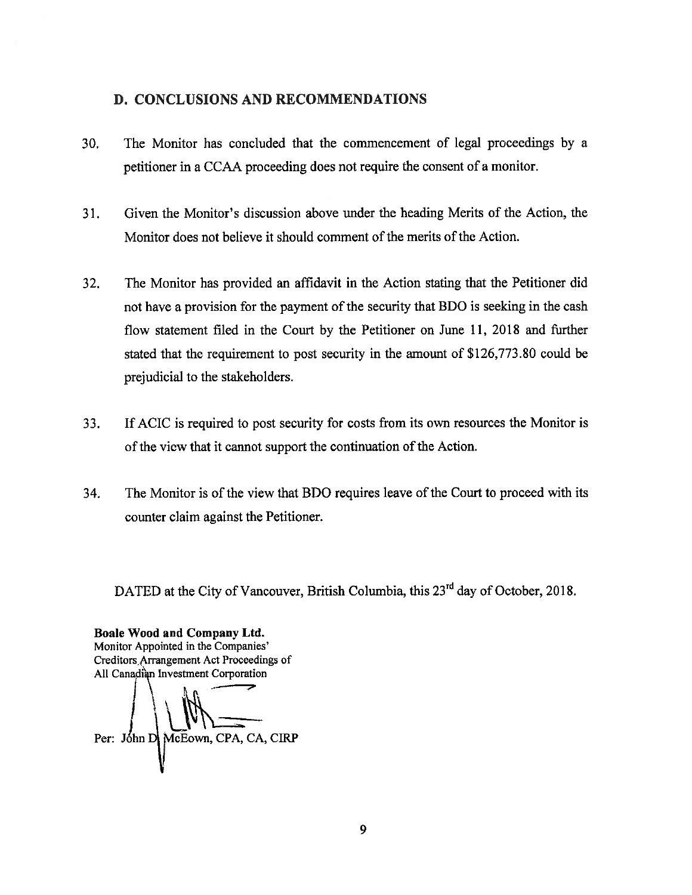### D. CONCLUSIONS AND RECOMMENDATIONS

- 30. The Monitor has concluded that the commencement of legal proceedings by a petitioner in a CCAA proceeding does not require the consent of a monitor.
- $31.$ Given the Monitor's discussion above under the heading Merits of the Action, the Monitor does not believe it should comment of the merits of the Action.
- $32.$ The Monitor has provided an affidavit in the Action stating that the Petitioner did not have a provision for the payment of the security that BDO is seeking in the cash flow statement filed in the Court by the Petitioner on June 11, 2018 and further stated that the requirement to post security in the amount of \$126,773.80 could be prejudicial to the stakeholders.
- 33. If ACIC is required to post security for costs from its own resources the Monitor is of the view that it cannot support the continuation of the Action.
- The Monitor is of the view that BDO requires leave of the Court to proceed with its 34. counter claim against the Petitioner.

DATED at the City of Vancouver, British Columbia, this 23<sup>rd</sup> day of October, 2018.

Boale Wood and Company Ltd. Monitor Appointed in the Companies' Creditors Arrangement Act Proceedings of All Canadian Investment Corporation

Per: John D McEown, CPA, CA, CIRP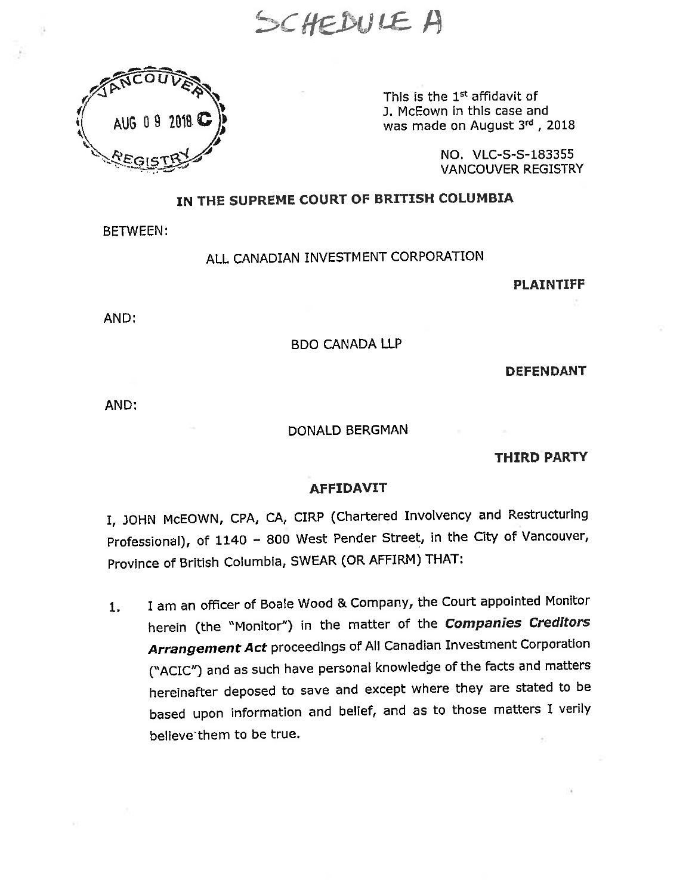SCHEDULE A



This is the 1<sup>st</sup> affidavit of J. McEown in this case and was made on August 3rd, 2018

> NO. VLC-S-S-183355 **VANCOUVER REGISTRY**

# IN THE SUPREME COURT OF BRITISH COLUMBIA

**BETWEEN:** 

# ALL CANADIAN INVESTMENT CORPORATION

**PLAINTIFF** 

AND:

### **BDO CANADA LLP**

**DEFENDANT** 

AND:

### DONALD BERGMAN

#### **THIRD PARTY**

#### **AFFIDAVIT**

I, JOHN McEOWN, CPA, CA, CIRP (Chartered Involvency and Restructuring Professional), of 1140 - 800 West Pender Street, in the City of Vancouver, Province of British Columbia, SWEAR (OR AFFIRM) THAT:

I am an officer of Boale Wood & Company, the Court appointed Monitor 1. herein (the "Monitor") in the matter of the Companies Creditors Arrangement Act proceedings of All Canadian Investment Corporation ("ACIC") and as such have personal knowledge of the facts and matters hereinafter deposed to save and except where they are stated to be based upon information and belief, and as to those matters I verily believe them to be true.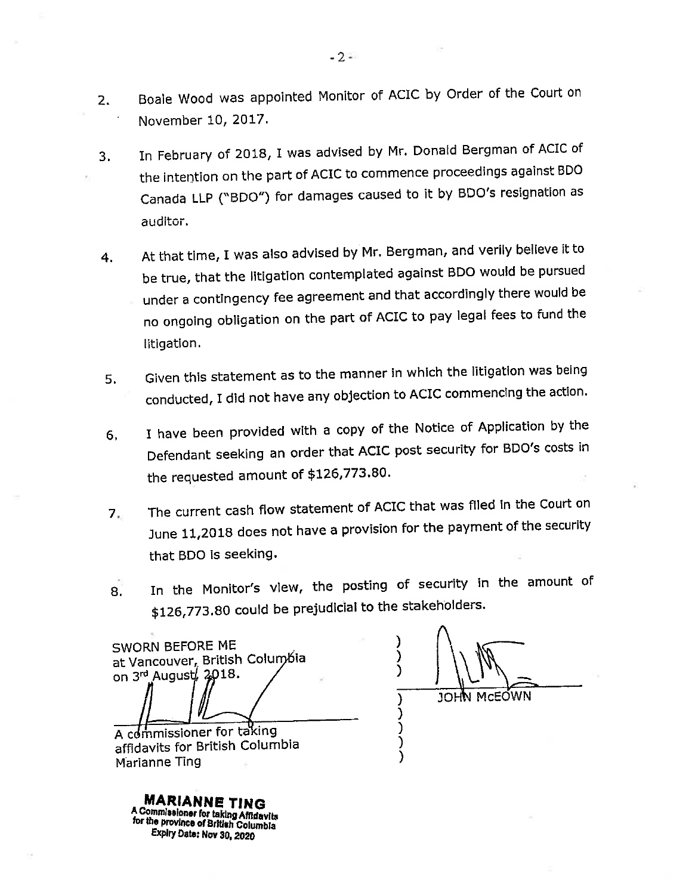- Boale Wood was appointed Monitor of ACIC by Order of the Court on  $2.$ November 10, 2017.
- In February of 2018, I was advised by Mr. Donald Bergman of ACIC of 3. the intention on the part of ACIC to commence proceedings against BDO Canada LLP ("BDO") for damages caused to it by BDO's resignation as auditor.
- At that time, I was also advised by Mr. Bergman, and verily believe it to 4. be true, that the litigation contemplated against BDO would be pursued under a contingency fee agreement and that accordingly there would be no ongoing obligation on the part of ACIC to pay legal fees to fund the litigation.
- Given this statement as to the manner in which the litigation was being 5. conducted, I did not have any objection to ACIC commencing the action.
- I have been provided with a copy of the Notice of Application by the 6. Defendant seeking an order that ACIC post security for BDO's costs in the requested amount of \$126,773.80.
- The current cash flow statement of ACIC that was filed in the Court on  $7<sub>ii</sub>$ June 11,2018 does not have a provision for the payment of the security that BDO is seeking.
- In the Monitor's view, the posting of security in the amount of  $8.$ \$126,773.80 could be prejudicial to the stakeholders.

SWORN BEFORE ME at Vancouver, British Columbia on  $3^{rd}$  August,  $2018$ .

℩ Ι ) JOHN MCEOWN

A commissioner for taking affidavits for British Columbia Marianne Ting

**MARIANNE TING** A Commissioner for taking Affidavits for the province of British Columbia Expiry Date: Nov 30, 2020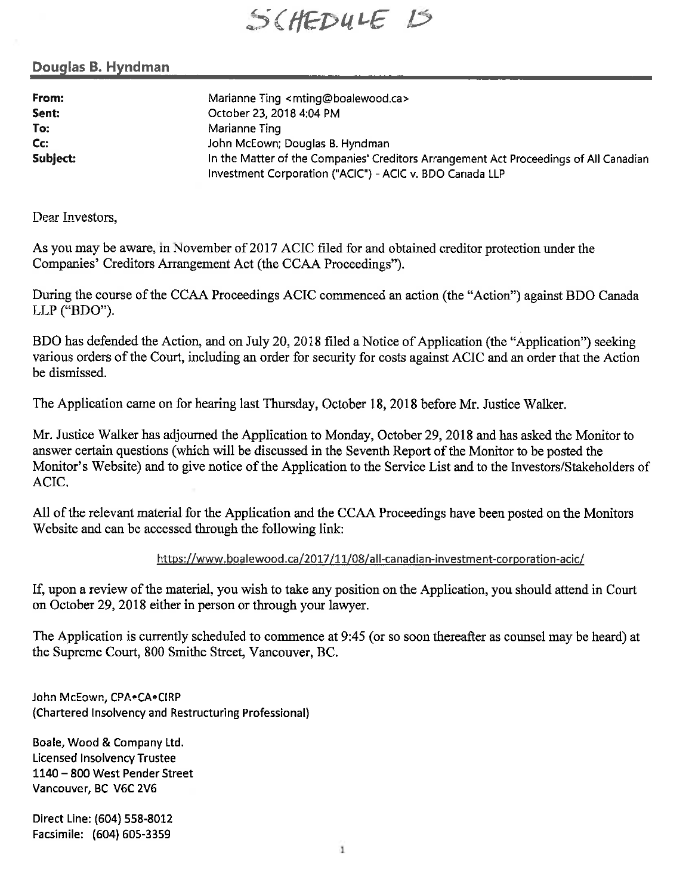SCHEDULE 15

### Douglas B. Hyndman

From: Sent: To: Cc: Subject: Marianne Ting <mting@boalewood.ca> October 23, 2018 4:04 PM Marianne Ting John McEown; Douglas B. Hyndman In the Matter of the Companies' Creditors Arrangement Act Proceedings of All Canadian Investment Corporation ("ACIC") - ACIC v. BDO Canada LLP

Dear Investors,

As you may be aware, in November of 2017 ACIC filed for and obtained creditor protection under the Companies' Creditors Arrangement Act (the CCAA Proceedings").

During the course of the CCAA Proceedings ACIC commenced an action (the "Action") against BDO Canada LLP ("BDO").

BDO has defended the Action, and on July 20, 2018 filed a Notice of Application (the "Application") seeking various orders of the Court, including an order for security for costs against ACIC and an order that the Action be dismissed.

The Application came on for hearing last Thursday, October 18, 2018 before Mr. Justice Walker.

Mr. Justice Walker has adjourned the Application to Monday, October 29, 2018 and has asked the Monitor to answer certain questions (which will be discussed in the Seventh Report of the Monitor to be posted the Monitor's Website) and to give notice of the Application to the Service List and to the Investors/Stakeholders of ACIC.

All of the relevant material for the Application and the CCAA Proceedings have been posted on the Monitors Website and can be accessed through the following link:

### https://www.boalewood.ca/2017/11/08/all-canadian-investment-corporation-acic/

If, upon a review of the material, you wish to take any position on the Application, you should attend in Court on October 29, 2018 either in person or through your lawyer.

The Application is currently scheduled to commence at 9:45 (or so soon thereafter as counsel may be heard) at the Supreme Court, 800 Smithe Street, Vancouver, BC.

John McEown, CPA.CA.CIRP (Chartered Insolvency and Restructuring Professional)

Boale, Wood & Company Ltd. **Licensed Insolvency Trustee** 1140 - 800 West Pender Street Vancouver, BC V6C 2V6

Direct Line: (604) 558-8012 Facsimile: (604) 605-3359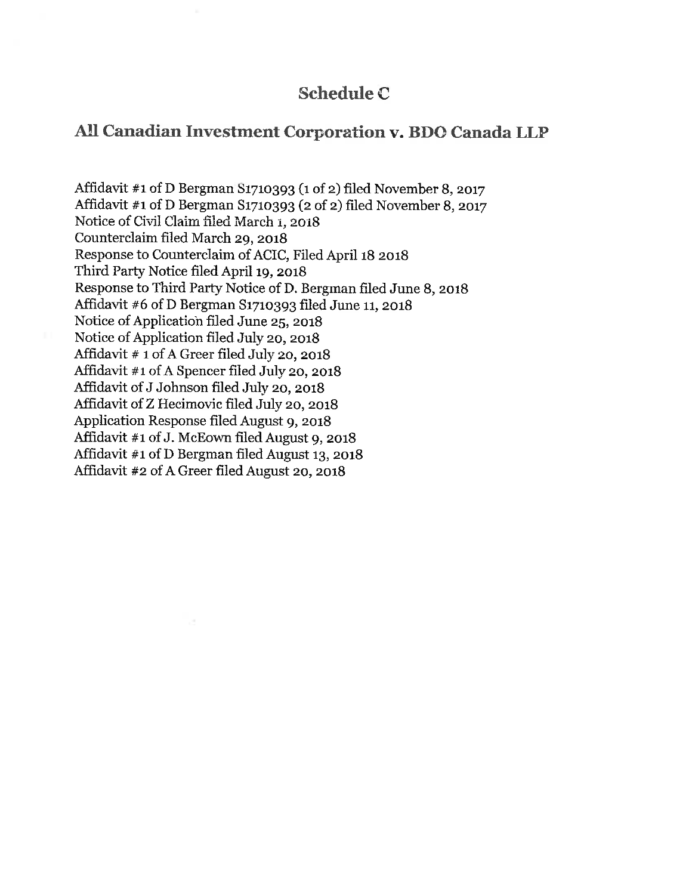# **Schedule C**

# All Canadian Investment Corporation v. BDO Canada LLP

Affidavit #1 of D Bergman S1710393 (1 of 2) filed November 8, 2017 Affidavit #1 of D Bergman S1710393 (2 of 2) filed November 8, 2017 Notice of Civil Claim filed March 1, 2018 Counterclaim filed March 29, 2018 Response to Counterclaim of ACIC, Filed April 18 2018 Third Party Notice filed April 19, 2018 Response to Third Party Notice of D. Bergman filed June 8, 2018 Affidavit  $#6$  of D Bergman S1710393 filed June 11, 2018 Notice of Application filed June 25, 2018 Notice of Application filed July 20, 2018 Affidavit # 1 of A Greer filed July 20, 2018 Affidavit #1 of A Spencer filed July 20, 2018 Affidavit of J Johnson filed July 20, 2018 Affidavit of Z Hecimovic filed July 20, 2018 Application Response filed August 9, 2018 Affidavit #1 of J. McEown filed August 9, 2018 Affidavit #1 of D Bergman filed August 13, 2018 Affidavit #2 of A Greer filed August 20, 2018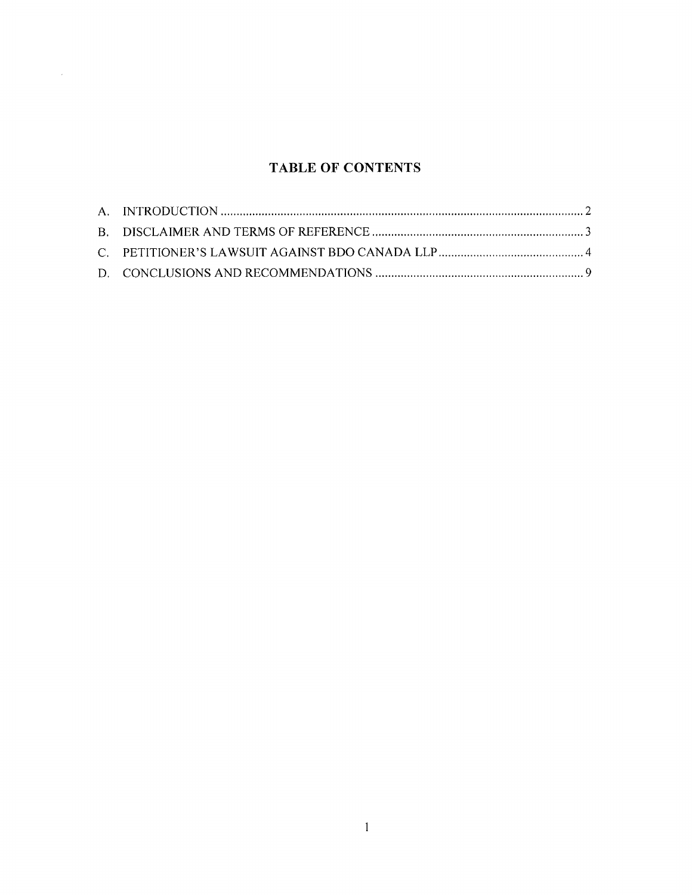# **TABLE OF CONTENTS**

 $\mathcal{L}(\mathbf{z})$  .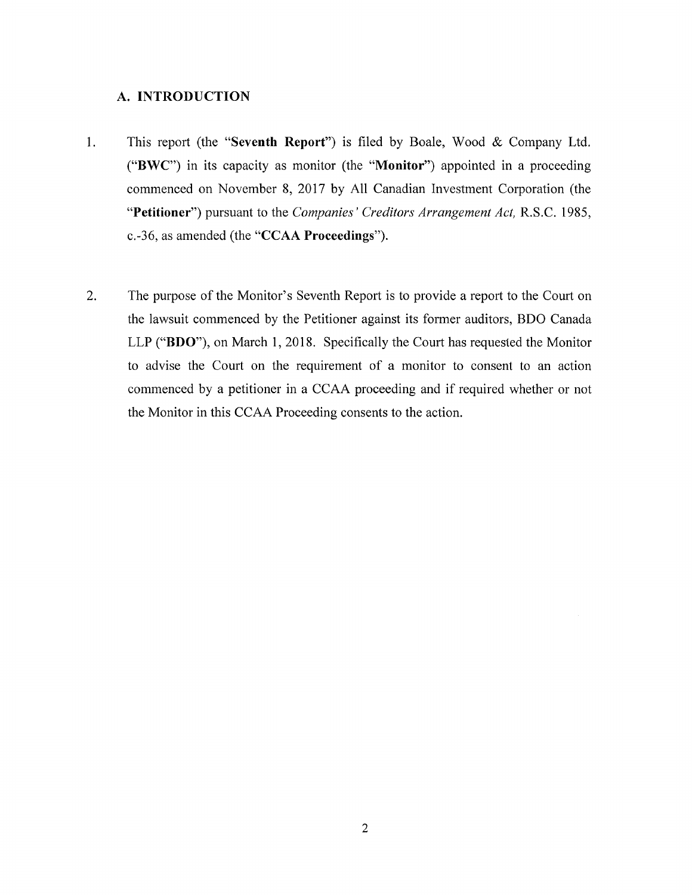### <span id="page-15-0"></span>**A. INTRODUCTION**

- 1. This report (the **"Seventh Report")** is filed by Boale, Wood & Company Ltd. **("BWC**") in its capacity as monitor (the **"Monitor")** appointed in a proceeding commenced on November **8**, 2017 by All Canadian Investment Corporation (the **"Petitioner")** pursuant to the *Companies' Creditors Arrangement Act,* R.S.C. 1985, c.-36, as amended (the **"CCAA Proceedings").**
- 2. The purpose of the Monitor's Seventh Report is to provide a report to the Court on the lawsuit commenced by the Petitioner against its former auditors, BDO Canada LLP **("BDO"),** on March 1, 2018. Specifically the Court has requested the Monitor to advise the Court on the requirement of a monitor to consent to an action commenced by a petitioner in a CCAA proceeding and if required whether or not the Monitor in this CCAA Proceeding consents to the action.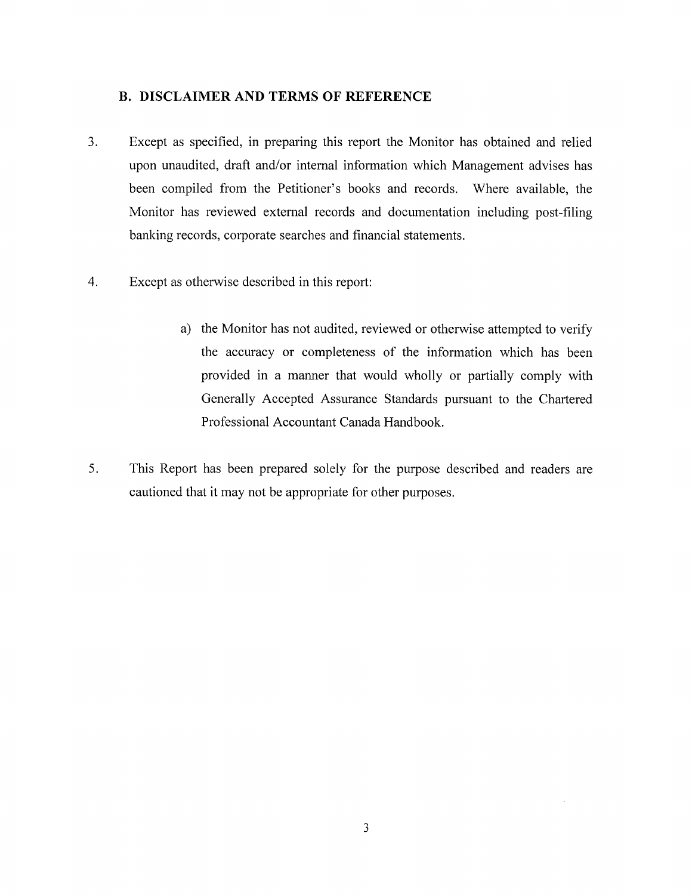### <span id="page-16-0"></span>**B. DISCLAIMER AND TERMS OF REFERENCE**

- 3. Except as specified, in preparing this report the Monitor has obtained and relied upon unaudited, draft and/or internal information which Management advises has been compiled from the Petitioner's books and records. Where available, the Monitor has reviewed external records and documentation including post-filing banking records, corporate searches and financial statements.
- 4. Except as otherwise described in this report:
	- a) the Monitor has not audited, reviewed or otherwise attempted to verify the accuracy or completeness of the information which has been provided in a manner that would wholly or partially comply with Generally Accepted Assurance Standards pursuant to the Chartered Professional Accountant Canada Handbook.
- 5. This Report has been prepared solely for the purpose described and readers are cautioned that it may not be appropriate for other purposes.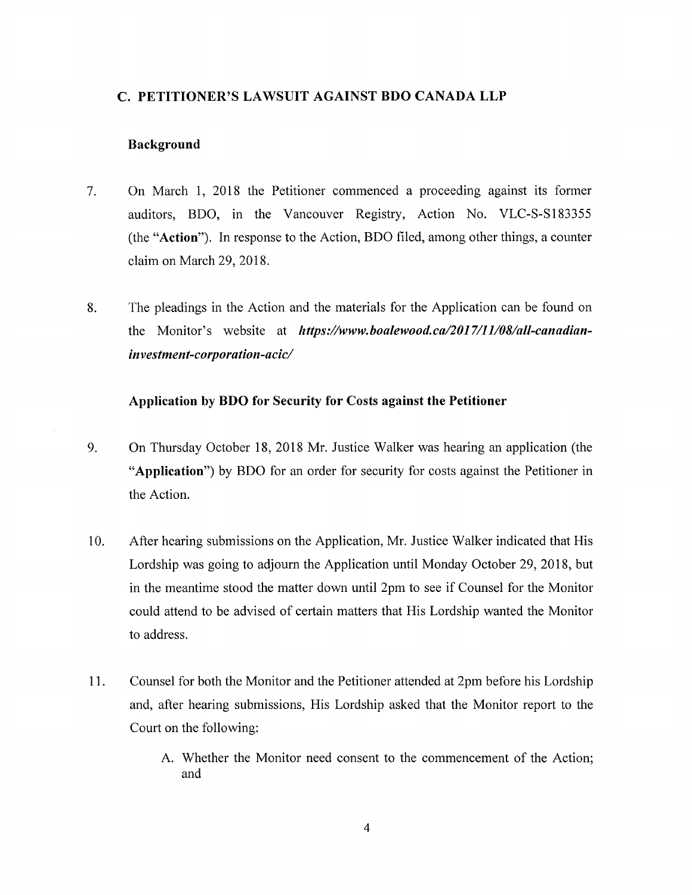### <span id="page-17-0"></span>**C. PETITIONER'S LAWSUIT AGAINST BDO CANADA LLP**

### **Background**

- 7. On March 1, 2018 the Petitioner commenced a proceeding against its former auditors, BDO, in the Vancouver Registry, Action No. VLC-S-S183355 (the **"Action").** In response to the Action, BDO filed, among other things, a counter claim on March 29, 2018.
- **8**. The pleadings in the Action and the materials for the Application can be found on the Monitor's website at *[https://www.boalewood.ca/2017/ll/08/all-canadian](https://www.boalewood.ca/2017/ll/08/all-canadian-investment-corporation-acic/)[investment-corporation-acic/](https://www.boalewood.ca/2017/ll/08/all-canadian-investment-corporation-acic/)*

### **Application by BDO for Security for Costs against the Petitioner**

- 9. On Thursday October 18, 2018 Mr. Justice Walker was hearing an application (the **"Application")** by BDO for an order for security for costs against the Petitioner in the Action.
- 10. After hearing submissions on the Application, Mr. Justice Walker indicated that His Lordship was going to adjourn the Application until Monday October 29, 2018, but in the meantime stood the matter down until 2pm to see if Counsel for the Monitor could attend to be advised of certain matters that His Lordship wanted the Monitor to address.
- 11. Counsel for both the Monitor and the Petitioner attended at 2pm before his Lordship and, after hearing submissions, His Lordship asked that the Monitor report to the Court on the following:
	- A. Whether the Monitor need consent to the commencement of the Action; and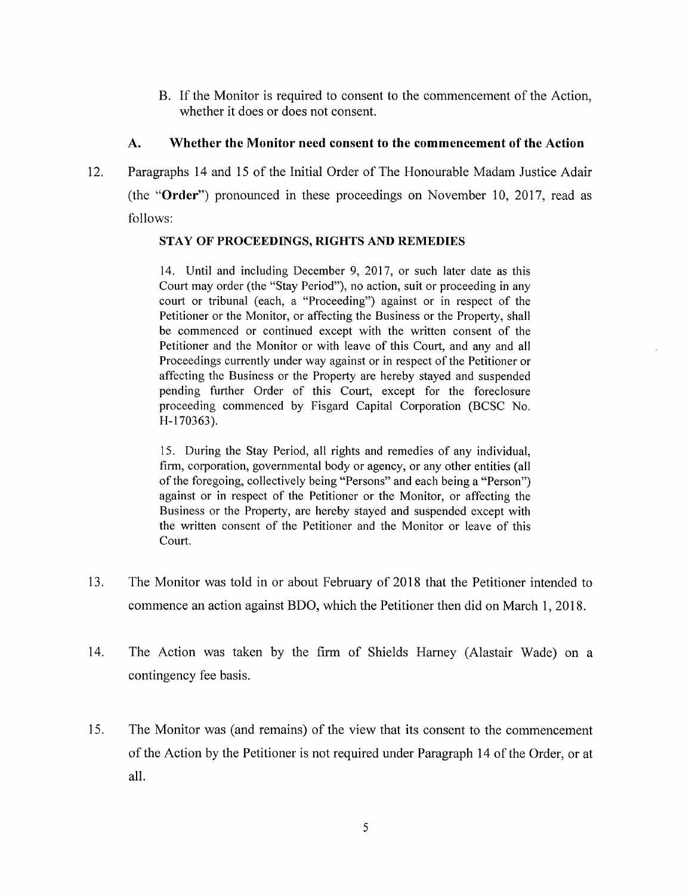B. If the Monitor is required to consent to the commencement of the Action, whether it does or does not consent.

### **A. Whether the Monitor need consent to the commencement of the Action**

**12.** Paragraphs **14** and **15** of the Initial Order of The Honourable Madam Justice Adair (the **"Order")** pronounced in these proceedings on November **10, 2017,** read as follows:

### **STAY OF PROCEEDINGS, RIGHTS AND REMEDIES**

14. Until and including December 9, 2017, or such later date as this Court may order (the "Stay Period"), no action, suit or proceeding in any court or tribunal (each, a "Proceeding") against or in respect of the Petitioner or the Monitor, or affecting the Business or the Property, shall be commenced or continued except with the written consent of the Petitioner and the Monitor or with leave of this Court, and any and all Proceedings currently under way against or in respect of the Petitioner or affecting the Business or the Property are hereby stayed and suspended pending further Order of this Court, except for the foreclosure proceeding commenced by Fisgard Capital Corporation (BCSC No. H-170363).

15. During the Stay Period, all rights and remedies of any individual, firm, corporation, governmental body or agency, or any other entities (all ofthe foregoing, collectively being "Persons" and each being a "Person") against or in respect of the Petitioner or the Monitor, or affecting the Business or the Property, are hereby stayed and suspended except with the written consent of the Petitioner and the Monitor or leave of this Court.

- 13. The Monitor was told in or about February of 2018 that the Petitioner intended to commence an action against BDO, which the Petitioner then did on March 1, 2018.
- 14. The Action was taken by the firm of Shields Harney (Alastair Wade) on a contingency fee basis.
- 15. The Monitor was (and remains) of the view that its consent to the commencement ofthe Action by the Petitioner is not required under Paragraph 14 ofthe Order, or at all.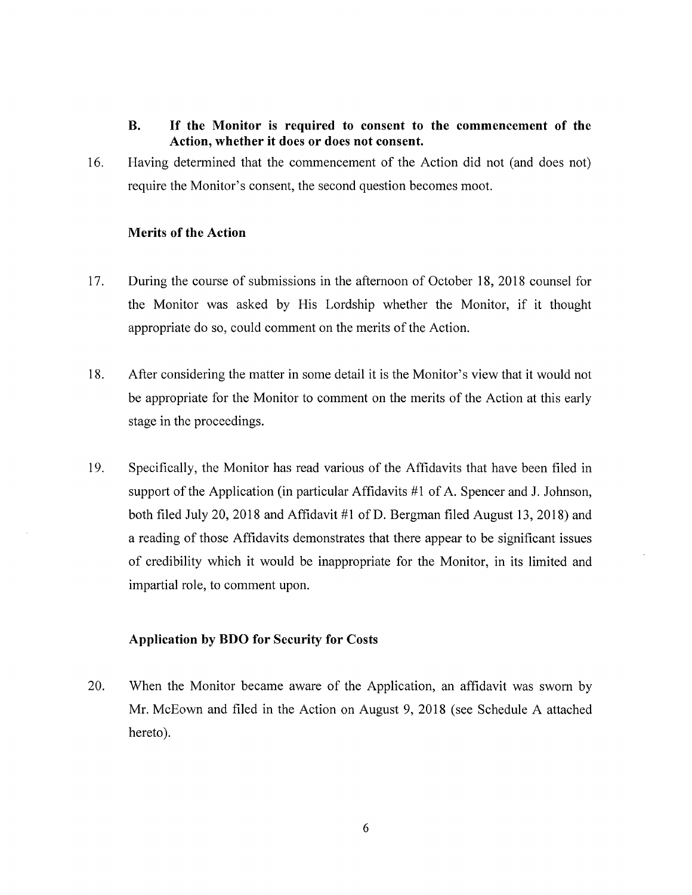### **B. If the Monitor is required to consent to the commencement of the Action, whether it does or does not consent.**

16. Having determined that the commencement of the Action did not (and does not) require the Monitor's consent, the second question becomes moot.

### **Merits** of the **Action**

- 17. During the course of submissions in the afternoon of October 18, 2018 counsel for the Monitor was asked by His Lordship whether the Monitor, if it thought appropriate do so, could comment on the merits of the Action.
- 18. After considering the matter in some detail it is the Monitor's view that it would not be appropriate for the Monitor to comment on the merits of the Action at this early stage in the proceedings.
- 19. Specifically, the Monitor has read various of the Affidavits that have been filed in support of the Application (in particular Affidavits  $#1$  of A. Spencer and J. Johnson, both filed July 20, 2018 and Affidavit #1 of D. Bergman filed August 13, 2018) and a reading of those Affidavits demonstrates that there appear to be significant issues of credibility which it would be inappropriate for the Monitor, in its limited and impartial role, to comment upon.

### **Application by BDO for Security for Costs**

20. When the Monitor became aware of the Application, an affidavit was sworn by Mr. McEown and filed in the Action on August 9, 2018 (see Schedule A attached hereto).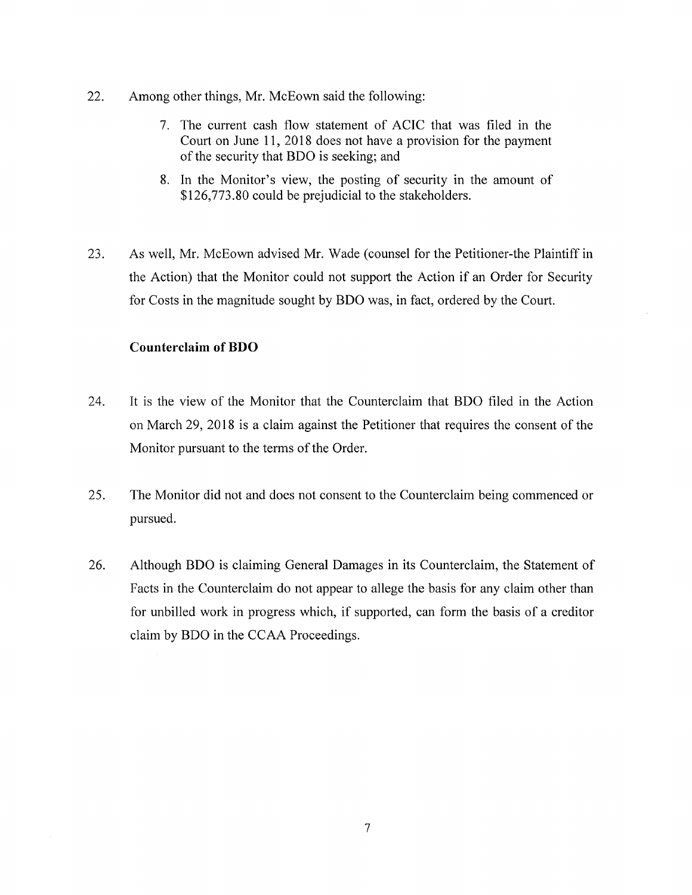- 22. Among other things, Mr. McEown said the following:
	- 7. The current cash flow statement of ACIC that was filed in the Court on June 11, 2018 does not have a provision for the payment of the security that BDO is seeking; and
	- **8**. In the Monitor's view, the posting of security in the amount of \$126,773.80 could be prejudicial to the stakeholders.
- 23. As well, Mr. McEown advised Mr. Wade (counsel for the Petitioner-the Plaintiff in the Action) that the Monitor could not support the Action if an Order for Security for Costs in the magnitude sought by BDO was, in fact, ordered by the Court.

### **Counterclaim of BDO**

- 24. It is the view of the Monitor that the Counterclaim that BDO filed in the Action on March 29, 2018 is a claim against the Petitioner that requires the consent of the Monitor pursuant to the terms of the Order.
- 25. The Monitor did not and does not consent to the Counterclaim being commenced or pursued.
- 26. Although BDO is claiming General Damages in its Counterclaim, the Statement of Facts in the Counterclaim do not appear to allege the basis for any claim other than for unbilled work in progress which, if supported, can form the basis of a creditor claim by BDO in the CCAA Proceedings.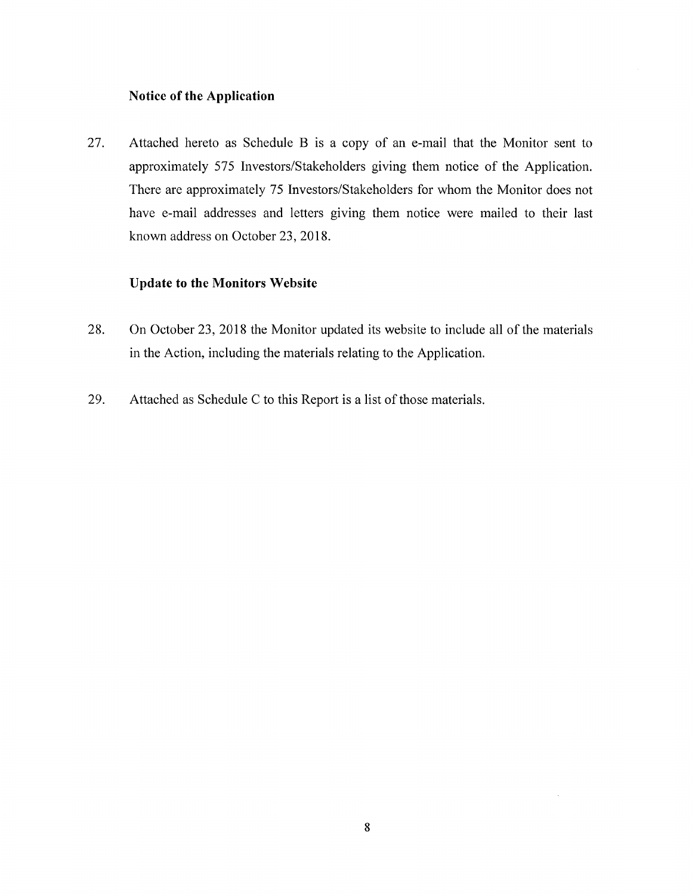### **Notice of the Application**

27. Attached hereto as Schedule B is a copy of an e-mail that the Monitor sent to approximately 575 Investors/Stakeholders giving them notice of the Application. There are approximately 75 Investors/Stakeholders for whom the Monitor does not have e-mail addresses and letters giving them notice were mailed to their last known address on October 23, 2018.

### **Update to the Monitors Website**

- 28. On October 23, 2018 the Monitor updated its website to include all of the materials in the Action, including the materials relating to the Application.
- 29. Attached as Schedule C to this Report is a list of those materials.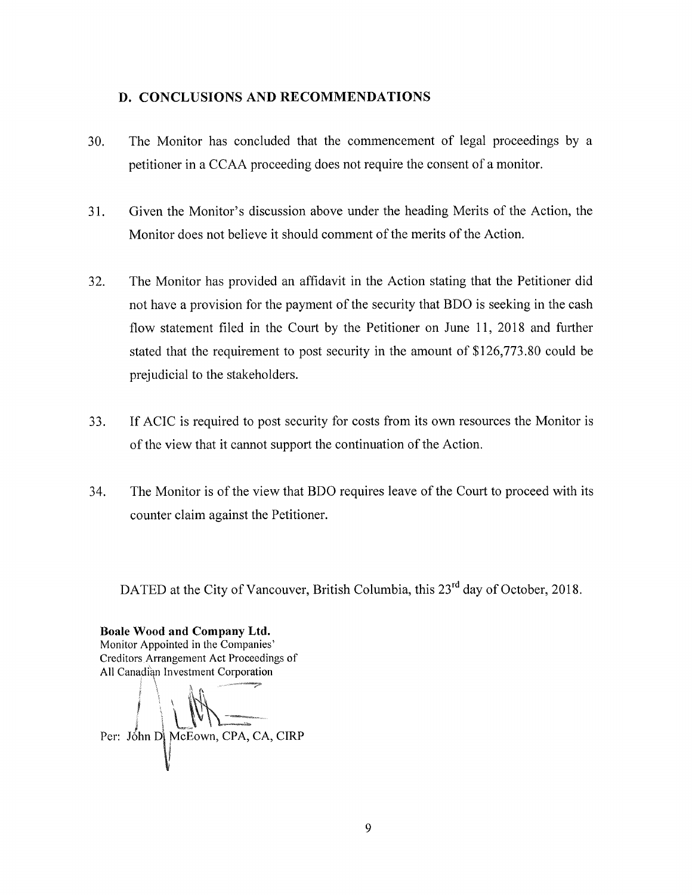### <span id="page-22-0"></span>**D. CONCLUSIONS AND RECOMMENDATIONS**

- 30. The Monitor has concluded that the commencement of legal proceedings by a petitioner in a CCAA proceeding does not require the consent of a monitor.
- 31. Given the Monitor's discussion above under the heading Merits of the Action, the Monitor does not believe it should comment of the merits of the Action.
- 32. The Monitor has provided an affidavit in the Action stating that the Petitioner did not have a provision for the payment of the security that BDO is seeking in the cash flow statement filed in the Court by the Petitioner on June 11, 2018 and further stated that the requirement to post security in the amount of \$126,773.80 could be prejudicial to the stakeholders.
- 33. If ACIC is required to post security for costs from its own resources the Monitor is of the view that it cannot support the continuation of the Action.
- 34. The Monitor is of the view that BDO requires leave of the Court to proceed with its counter claim against the Petitioner.

DATED at the City of Vancouver, British Columbia, this 23<sup>rd</sup> day of October, 2018.

**Boale Wood and Company Ltd.** Monitor Appointed in the Companies' Creditors Arrangement Act Proceedings of All Canadian Investment Corporation

Per: John D McEown, CPA, CA, CIRP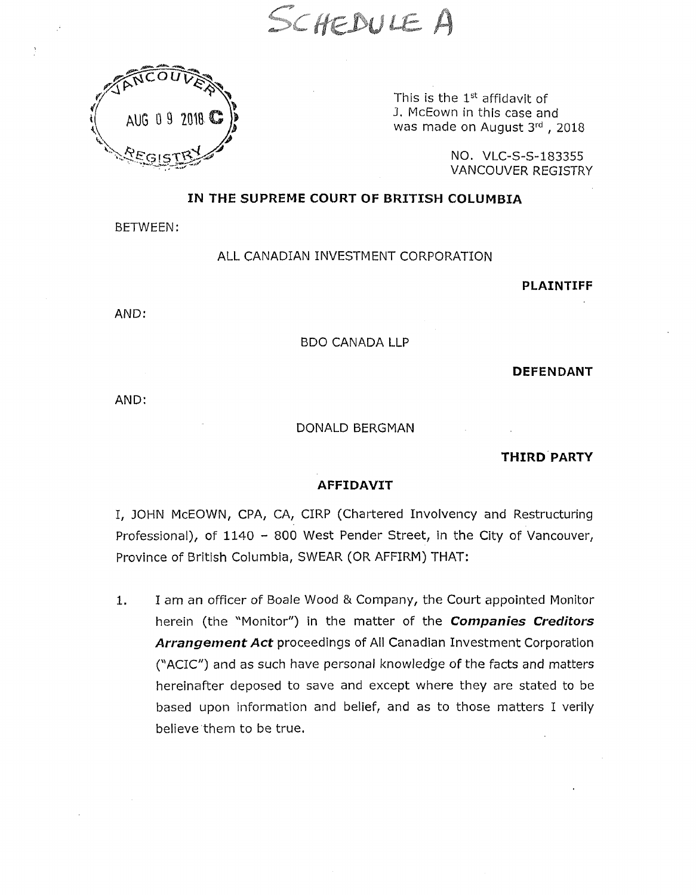SCHEDULE A



This is the  $1<sup>st</sup>$  affidavit of J. McEown in this case and was made on August 3rd, 2018

> NO. VLC-S-S-183355 VANCOUVER REGISTRY

### **IN THE SUPREME COURT OF BRITISH COLUMBIA**

BETWEEN:

#### ALL CANADIAN INVESTMENT CORPORATION

**PLAINTIFF**

AND:

#### BDO CANADA LLP

**DEFENDANT**

AND:

#### DONALD BERGMAN

**THIRD PARTY**

#### **AFFIDAVIT**

I, JOHN McEOWN, CPA, CA, CIRP (Chartered Involvency and Restructuring Professional), of 1140 - 800 West Pender Street, in the City of Vancouver, Province of British Columbia, SWEAR (OR AFFIRM) THAT:

1. I am an officer of Boale Wood & Company, the Court appointed Monitor herein (the "Monitor") in the matter of the *Companies Creditors Arrangement Act* proceedings of All Canadian Investment Corporation ("ACIC") and as such have personal knowledge of the facts and matters hereinafter deposed to save and except where they are stated to be based upon information and belief, and as to those matters I verily believe them to be true.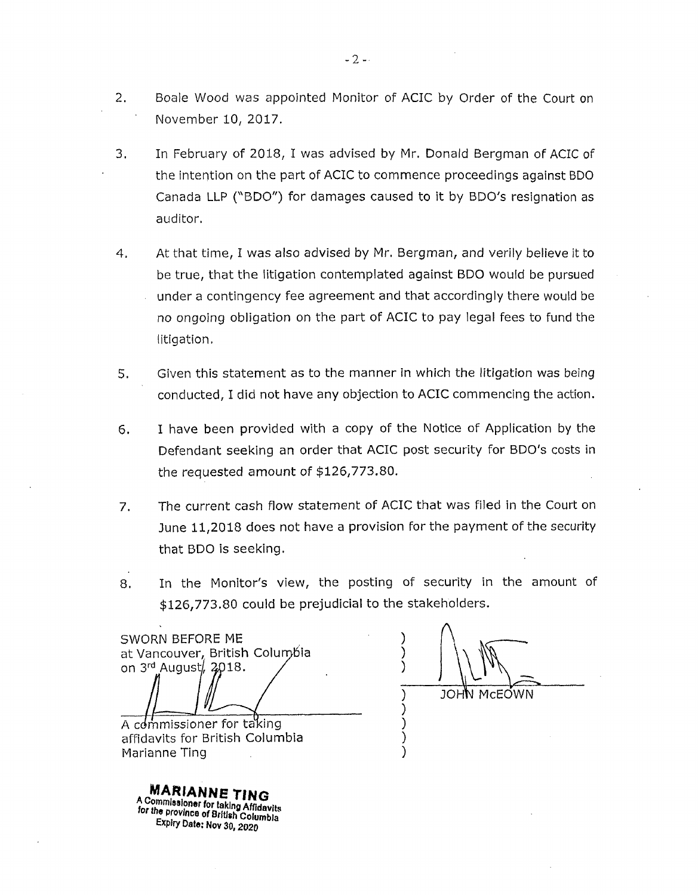- 2. Boale Wood was appointed Monitor of ACIC by Order of the Court on November 10, 2017.
- 3. In February of 2018, I was advised by Mr. Donald Bergman of ACIC of the intention on the part of ACIC to commence proceedings against BDO Canada LLP ("BDO") for damages caused to it by BDO's resignation as auditor.
- 4. At that time, I was also advised by Mr. Bergman, and verily believe it to be true, that the litigation contemplated against BDO would be pursued under a contingency fee agreement and that accordingly there would be no ongoing obligation on the part of ACIC to pay legal fees to fund the litigation.
- 5. Given this statement as to the manner in which the litigation was being conducted, I did not have any objection to ACIC commencing the action.
- 6. I have been provided with a copy of the Notice of Application by the Defendant seeking an order that ACIC post security for BDO's costs in the requested amount of \$126,773.80.
- 7. The current cash flow statement of ACIC that was filed in the Court on June 11,2018 does not have a provision for the payment of the security that BDO is seeking.
- 8. In the Monitor's view, the posting of security in the amount of \$126,773.80 could be prejudicial to the stakeholders.

**) ) ) )**

SWORN BEFORE ME<br>at Vancouver, British Columbia at Vancouver, British Columbia<br>on 3<sup>rd</sup> August, 2018. A commissioner for taking affidavits for British Columbia Marianne Ting

**) ) JOHN** MCEOWN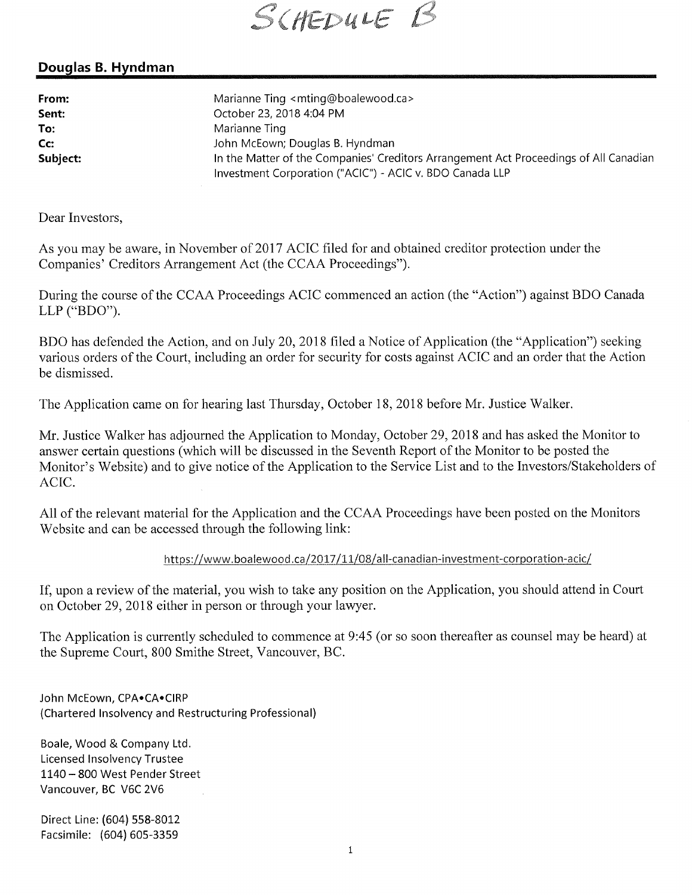SCHEDULE B

# **Douglas B. Hyndman**

**From: Marianne Ting [<mting@boalewood.ca](mailto:mting@boalewood.ca)> Sent: October 23, 2018 4:04 PM To: Marianne Ting Cc: John McEown; Douglas B. Hyndman Subject: In the Matter of the Companies' Creditors Arrangement Act Proceedings of All Canadian Investment Corporation ("ACIC") - ACIC v. BDO Canada LLP**

Dear Investors,

As you may be aware, in November of 2017 ACIC filed for and obtained creditor protection under the Companies' Creditors Arrangement Act (the CCAA Proceedings").

During the course of the CCAA Proceedings ACIC commenced an action (the "Action") against BDO Canada LLP ("BDO").

BDO has defended the Action, and on July 20, 2018 filed a Notice of Application (the "Application") seeking various orders of the Court, including an order for security for costs against ACIC and an order that the Action be dismissed.

The Application came on for hearing last Thursday, October 18, 2018 before Mr. Justice Walker.

Mr. Justice Walker has adjourned the Application to Monday, October 29, 2018 and has asked the Monitor to answer certain questions (which will be discussed in the Seventh Report of the Monitor to be posted the Monitor's Website) and to give notice of the Application to the Service List and to the Investors/Stakeholders of ACIC.

All of the relevant material for the Application and the CCAA Proceedings have been posted on the Monitors Website and can be accessed through the following link:

### **<https://www.boalewood.ca/2017/ll/08/all-canadian-investment-corporation-acic/>**

If, upon a review of the material, you wish to take any position on the Application, you should attend in Court on October 29, 2018 either in person or through your lawyer.

The Application is currently scheduled to commence at 9:45 (or so soon thereafter as counsel may be heard) at the Supreme Court, 800 Smithe Street, Vancouver, BC.

**John McEown, CPA\*CA»CIRP (Chartered Insolvency and Restructuring Professional)**

**Boale, Wood & Company Ltd. Licensed Insolvency Trustee <sup>1140</sup> - <sup>800</sup> West Pender Street Vancouver, BC V6C 2V6**

**Direct Line: (604) 558-8012 Facsimile: (604) 605-3359**